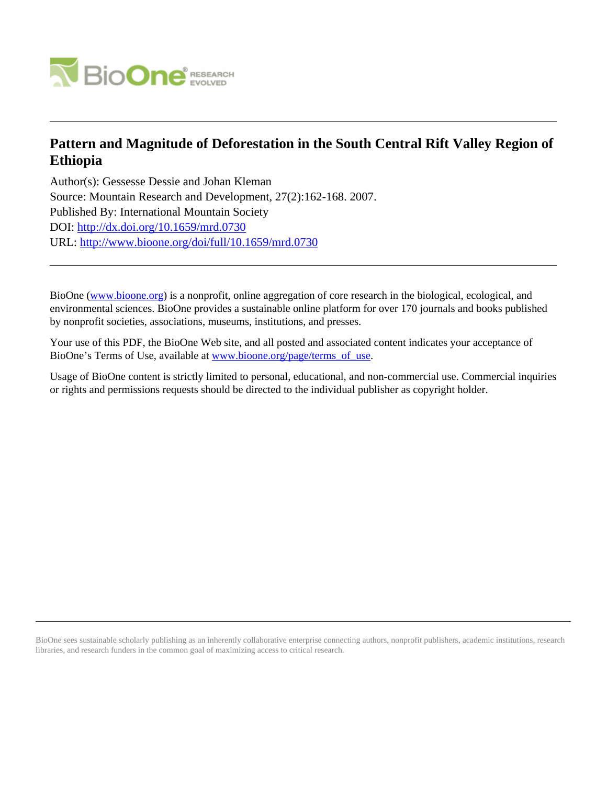

# **Pattern and Magnitude of Deforestation in the South Central Rift Valley Region of Ethiopia**

Author(s): Gessesse Dessie and Johan Kleman Source: Mountain Research and Development, 27(2):162-168. 2007. Published By: International Mountain Society DOI:<http://dx.doi.org/10.1659/mrd.0730> URL: <http://www.bioone.org/doi/full/10.1659/mrd.0730>

BioOne [\(www.bioone.org\)](http://www.bioone.org) is a nonprofit, online aggregation of core research in the biological, ecological, and environmental sciences. BioOne provides a sustainable online platform for over 170 journals and books published by nonprofit societies, associations, museums, institutions, and presses.

Your use of this PDF, the BioOne Web site, and all posted and associated content indicates your acceptance of BioOne's Terms of Use, available at [www.bioone.org/page/terms\\_of\\_use.](http://www.bioone.org/page/terms_of_use)

Usage of BioOne content is strictly limited to personal, educational, and non-commercial use. Commercial inquiries or rights and permissions requests should be directed to the individual publisher as copyright holder.

BioOne sees sustainable scholarly publishing as an inherently collaborative enterprise connecting authors, nonprofit publishers, academic institutions, research libraries, and research funders in the common goal of maximizing access to critical research.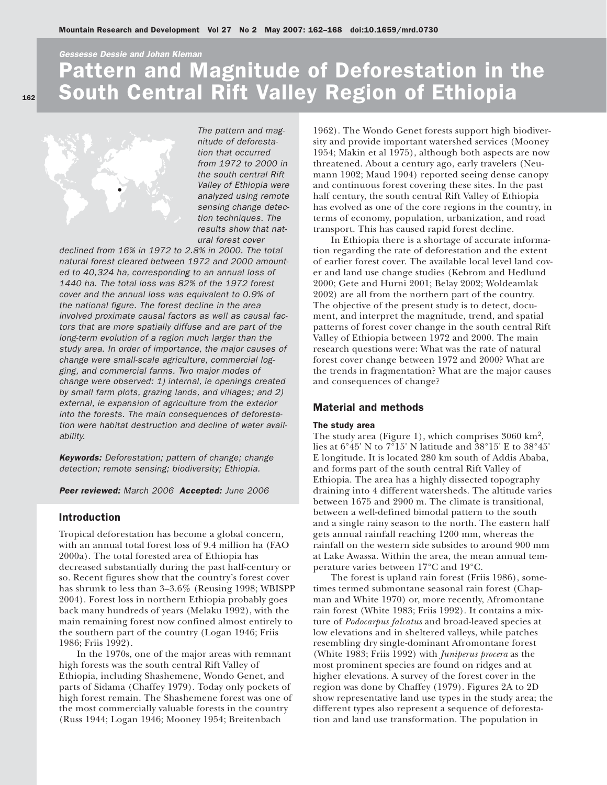Gessesse Dessie and Johan Kleman

# Pattern and Magnitude of Deforestation in the South Central Rift Valley Region of Ethiopia



The pattern and magnitude of deforestation that occurred from 1972 to 2000 in the south central Rift Valley of Ethiopia were analyzed using remote sensing change detection techniques. The results show that natural forest cover

declined from 16% in 1972 to 2.8% in 2000. The total natural forest cleared between 1972 and 2000 amounted to 40,324 ha, corresponding to an annual loss of 1440 ha. The total loss was 82% of the 1972 forest cover and the annual loss was equivalent to 0.9% of the national figure. The forest decline in the area involved proximate causal factors as well as causal factors that are more spatially diffuse and are part of the long-term evolution of a region much larger than the study area. In order of importance, the major causes of change were small-scale agriculture, commercial logging, and commercial farms. Two major modes of change were observed: 1) internal, ie openings created by small farm plots, grazing lands, and villages; and 2) external, ie expansion of agriculture from the exterior into the forests. The main consequences of deforestation were habitat destruction and decline of water availability.

Keywords: Deforestation; pattern of change; change detection; remote sensing; biodiversity; Ethiopia.

Peer reviewed: March 2006 Accepted: June 2006

### Introduction

Tropical deforestation has become a global concern, with an annual total forest loss of 9.4 million ha (FAO 2000a). The total forested area of Ethiopia has decreased substantially during the past half-century or so. Recent figures show that the country's forest cover has shrunk to less than 3–3.6% (Reusing 1998; WBISPP 2004). Forest loss in northern Ethiopia probably goes back many hundreds of years (Melaku 1992), with the main remaining forest now confined almost entirely to the southern part of the country (Logan 1946; Friis 1986; Friis 1992).

In the 1970s, one of the major areas with remnant high forests was the south central Rift Valley of Ethiopia, including Shashemene, Wondo Genet, and parts of Sidama (Chaffey 1979). Today only pockets of high forest remain. The Shashemene forest was one of the most commercially valuable forests in the country (Russ 1944; Logan 1946; Mooney 1954; Breitenbach

1962). The Wondo Genet forests support high biodiversity and provide important watershed services (Mooney 1954; Makin et al 1975), although both aspects are now threatened. About a century ago, early travelers (Neumann 1902; Maud 1904) reported seeing dense canopy and continuous forest covering these sites. In the past half century, the south central Rift Valley of Ethiopia has evolved as one of the core regions in the country, in terms of economy, population, urbanization, and road transport. This has caused rapid forest decline.

In Ethiopia there is a shortage of accurate information regarding the rate of deforestation and the extent of earlier forest cover. The available local level land cover and land use change studies (Kebrom and Hedlund 2000; Gete and Hurni 2001; Belay 2002; Woldeamlak 2002) are all from the northern part of the country. The objective of the present study is to detect, document, and interpret the magnitude, trend, and spatial patterns of forest cover change in the south central Rift Valley of Ethiopia between 1972 and 2000. The main research questions were: What was the rate of natural forest cover change between 1972 and 2000? What are the trends in fragmentation? What are the major causes and consequences of change?

#### Material and methods

## The study area

The study area (Figure 1), which comprises 3060 km2, lies at 6°45' N to 7°15' N latitude and 38°15' E to 38°45' E longitude. It is located 280 km south of Addis Ababa, and forms part of the south central Rift Valley of Ethiopia. The area has a highly dissected topography draining into 4 different watersheds. The altitude varies between 1675 and 2900 m. The climate is transitional, between a well-defined bimodal pattern to the south and a single rainy season to the north. The eastern half gets annual rainfall reaching 1200 mm, whereas the rainfall on the western side subsides to around 900 mm at Lake Awassa. Within the area, the mean annual temperature varies between 17°C and 19°C.

The forest is upland rain forest (Friis 1986), sometimes termed submontane seasonal rain forest (Chapman and White 1970) or, more recently, Afromontane rain forest (White 1983; Friis 1992). It contains a mixture of *Podocarpus falcatus* and broad-leaved species at low elevations and in sheltered valleys, while patches resembling dry single-dominant Afromontane forest (White 1983; Friis 1992) with *Juniperus procera* as the most prominent species are found on ridges and at higher elevations. A survey of the forest cover in the region was done by Chaffey (1979). Figures 2A to 2D show representative land use types in the study area; the different types also represent a sequence of deforestation and land use transformation. The population in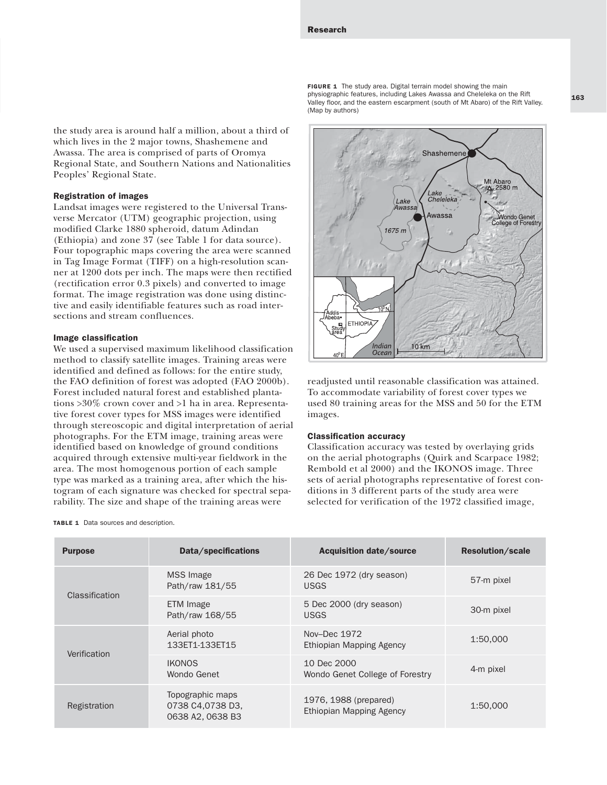the study area is around half a million, about a third of which lives in the 2 major towns, Shashemene and Awassa. The area is comprised of parts of Oromya Regional State, and Southern Nations and Nationalities Peoples' Regional State.

#### Registration of images

Landsat images were registered to the Universal Transverse Mercator (UTM) geographic projection, using modified Clarke 1880 spheroid, datum Adindan (Ethiopia) and zone 37 (see Table 1 for data source). Four topographic maps covering the area were scanned in Tag Image Format (TIFF) on a high-resolution scanner at 1200 dots per inch. The maps were then rectified (rectification error 0.3 pixels) and converted to image format. The image registration was done using distinctive and easily identifiable features such as road intersections and stream confluences.

#### Image classification

We used a supervised maximum likelihood classification method to classify satellite images. Training areas were identified and defined as follows: for the entire study, the FAO definition of forest was adopted (FAO 2000b). Forest included natural forest and established plantations >30% crown cover and >1 ha in area. Representative forest cover types for MSS images were identified through stereoscopic and digital interpretation of aerial photographs. For the ETM image, training areas were identified based on knowledge of ground conditions acquired through extensive multi-year fieldwork in the area. The most homogenous portion of each sample type was marked as a training area, after which the histogram of each signature was checked for spectral separability. The size and shape of the training areas were

#### TABLE 1 Data sources and description.

FIGURE 1 The study area. Digital terrain model showing the main physiographic features, including Lakes Awassa and Cheleleka on the Rift Valley floor, and the eastern escarpment (south of Mt Abaro) of the Rift Valley. (Map by authors)



readjusted until reasonable classification was attained. To accommodate variability of forest cover types we used 80 training areas for the MSS and 50 for the ETM images.

#### Classification accuracy

Classification accuracy was tested by overlaying grids on the aerial photographs (Quirk and Scarpace 1982; Rembold et al 2000) and the IKONOS image. Three sets of aerial photographs representative of forest conditions in 3 different parts of the study area were selected for verification of the 1972 classified image,

| <b>Purpose</b> | Data/specifications                                      | <b>Acquisition date/source</b>                           | <b>Resolution/scale</b> |
|----------------|----------------------------------------------------------|----------------------------------------------------------|-------------------------|
| Classification | <b>MSS</b> Image<br>Path/raw 181/55                      | 26 Dec 1972 (dry season)<br><b>USGS</b>                  | 57-m pixel              |
|                | ETM Image<br>Path/raw 168/55                             | 5 Dec 2000 (dry season)<br><b>USGS</b>                   | 30-m pixel              |
| Verification   | Aerial photo<br>133ET1-133ET15                           | Nov-Dec 1972<br>Ethiopian Mapping Agency                 | 1:50.000                |
|                | <b>IKONOS</b><br>Wondo Genet                             | 10 Dec 2000<br>Wondo Genet College of Forestry           | 4-m pixel               |
| Registration   | Topographic maps<br>0738 C4,0738 D3,<br>0638 A2, 0638 B3 | 1976, 1988 (prepared)<br><b>Ethiopian Mapping Agency</b> | 1:50,000                |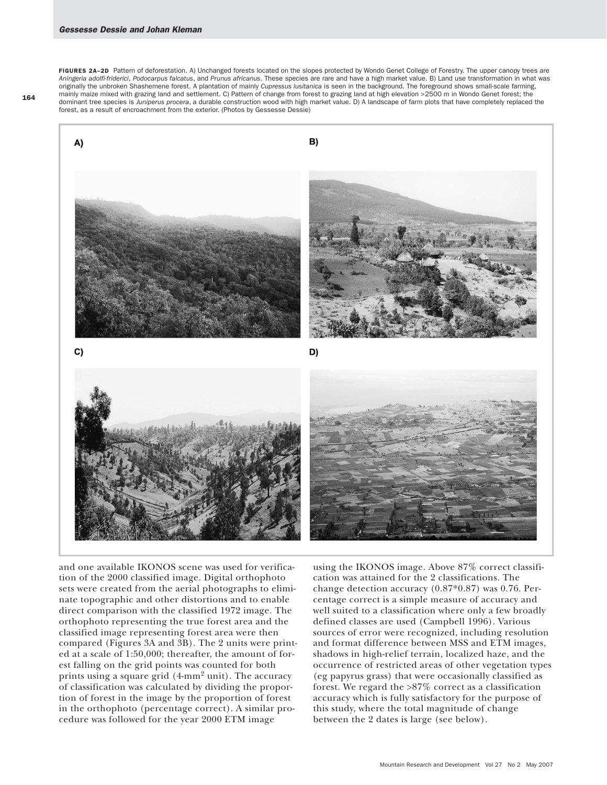FIGURES 2A-2D Pattern of deforestation. A) Unchanged forests located on the slopes protected by Wondo Genet College of Forestry. The upper canopy trees are *Aningeria adolfi-friderici*, *Podocarpus falcatus*, and *Prunus africanus*. These species are rare and have a high market value. B) Land use transformation in what was originally the unbroken Shashemene forest. A plantation of mainly *Cupressus lusitanica* is seen in the background. The foreground shows small-scale farming, mainly maize mixed with grazing land and settlement. C) Pattern of change from forest to grazing land at high elevation >2500 m in Wondo Genet forest; the dominant tree species is *Juniperus procera*, a durable construction wood with high market value. D) A landscape of farm plots that have completely replaced the forest, as a result of encroachment from the exterior. (Photos by Gessesse Dessie)



and one available IKONOS scene was used for verification of the 2000 classified image. Digital orthophoto sets were created from the aerial photographs to eliminate topographic and other distortions and to enable direct comparison with the classified 1972 image. The orthophoto representing the true forest area and the classified image representing forest area were then compared (Figures 3A and 3B). The 2 units were printed at a scale of 1:50,000; thereafter, the amount of forest falling on the grid points was counted for both prints using a square grid  $(4\text{-mm}^2 \text{ unit})$ . The accuracy of classification was calculated by dividing the proportion of forest in the image by the proportion of forest in the orthophoto (percentage correct). A similar procedure was followed for the year 2000 ETM image

using the IKONOS image. Above 87% correct classification was attained for the 2 classifications. The change detection accuracy (0.87\*0.87) was 0.76. Percentage correct is a simple measure of accuracy and well suited to a classification where only a few broadly defined classes are used (Campbell 1996). Various sources of error were recognized, including resolution and format difference between MSS and ETM images, shadows in high-relief terrain, localized haze, and the occurrence of restricted areas of other vegetation types (eg papyrus grass) that were occasionally classified as forest. We regard the >87% correct as a classification accuracy which is fully satisfactory for the purpose of this study, where the total magnitude of change between the 2 dates is large (see below).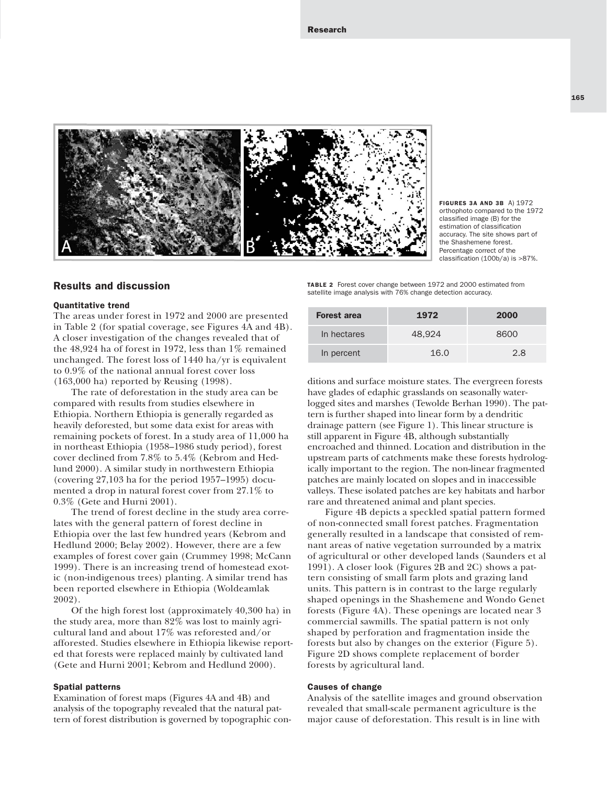

FIGURES 3A AND 3B A) 1972 orthophoto compared to the 1972 classified image (B) for the estimation of classification accuracy. The site shows part of the Shashemene forest. Percentage correct of the classification (100b/a) is >87%.

#### Results and discussion

#### Quantitative trend

The areas under forest in 1972 and 2000 are presented in Table 2 (for spatial coverage, see Figures 4A and 4B). A closer investigation of the changes revealed that of the 48,924 ha of forest in 1972, less than 1% remained unchanged. The forest loss of 1440 ha/yr is equivalent to 0.9% of the national annual forest cover loss (163,000 ha) reported by Reusing (1998).

The rate of deforestation in the study area can be compared with results from studies elsewhere in Ethiopia. Northern Ethiopia is generally regarded as heavily deforested, but some data exist for areas with remaining pockets of forest. In a study area of 11,000 ha in northeast Ethiopia (1958–1986 study period), forest cover declined from 7.8% to 5.4% (Kebrom and Hedlund 2000). A similar study in northwestern Ethiopia (covering 27,103 ha for the period 1957–1995) documented a drop in natural forest cover from 27.1% to 0.3% (Gete and Hurni 2001).

The trend of forest decline in the study area correlates with the general pattern of forest decline in Ethiopia over the last few hundred years (Kebrom and Hedlund 2000; Belay 2002). However, there are a few examples of forest cover gain (Crummey 1998; McCann 1999). There is an increasing trend of homestead exotic (non-indigenous trees) planting. A similar trend has been reported elsewhere in Ethiopia (Woldeamlak 2002).

Of the high forest lost (approximately 40,300 ha) in the study area, more than 82% was lost to mainly agricultural land and about 17% was reforested and/or afforested. Studies elsewhere in Ethiopia likewise reported that forests were replaced mainly by cultivated land (Gete and Hurni 2001; Kebrom and Hedlund 2000).

#### Spatial patterns

Examination of forest maps (Figures 4A and 4B) and analysis of the topography revealed that the natural pattern of forest distribution is governed by topographic con-

TABLE 2 Forest cover change between 1972 and 2000 estimated from satellite image analysis with 76% change detection accuracy.

| <b>Forest area</b> | 1972   | 2000 |
|--------------------|--------|------|
| In hectares        | 48.924 | 8600 |
| In percent         | 16.0   | 28   |

ditions and surface moisture states. The evergreen forests have glades of edaphic grasslands on seasonally waterlogged sites and marshes (Tewolde Berhan 1990). The pattern is further shaped into linear form by a dendritic drainage pattern (see Figure 1). This linear structure is still apparent in Figure 4B, although substantially encroached and thinned. Location and distribution in the upstream parts of catchments make these forests hydrologically important to the region. The non-linear fragmented patches are mainly located on slopes and in inaccessible valleys. These isolated patches are key habitats and harbor rare and threatened animal and plant species.

Figure 4B depicts a speckled spatial pattern formed of non-connected small forest patches. Fragmentation generally resulted in a landscape that consisted of remnant areas of native vegetation surrounded by a matrix of agricultural or other developed lands (Saunders et al 1991). A closer look (Figures 2B and 2C) shows a pattern consisting of small farm plots and grazing land units. This pattern is in contrast to the large regularly shaped openings in the Shashemene and Wondo Genet forests (Figure 4A). These openings are located near 3 commercial sawmills. The spatial pattern is not only shaped by perforation and fragmentation inside the forests but also by changes on the exterior (Figure 5). Figure 2D shows complete replacement of border forests by agricultural land.

#### Causes of change

Analysis of the satellite images and ground observation revealed that small-scale permanent agriculture is the major cause of deforestation. This result is in line with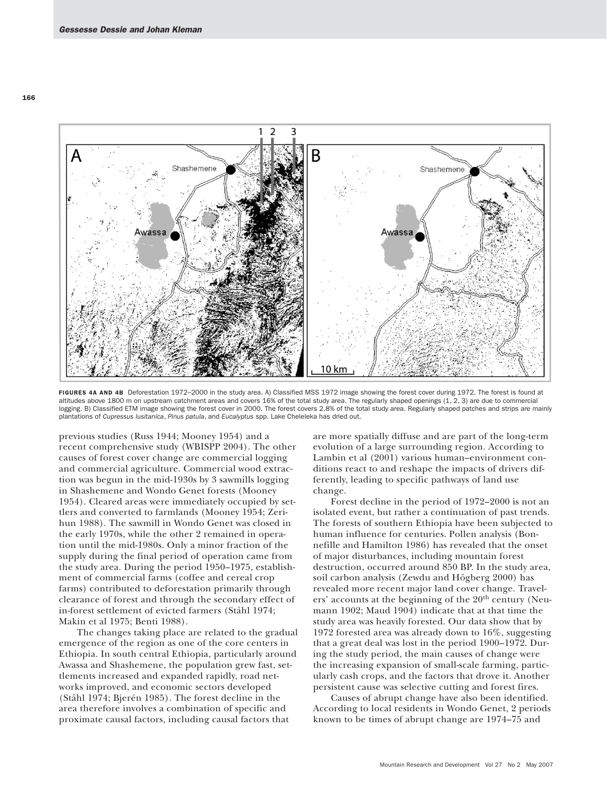

FIGURES 4A AND 4B Deforestation 1972-2000 in the study area. A) Classified MSS 1972 image showing the forest cover during 1972. The forest is found at altitudes above 1800 m on upstream catchment areas and covers 16% of the total study area. The regularly shaped openings (1, 2, 3) are due to commercial logging. B) Classified ETM image showing the forest cover in 2000. The forest covers 2.8% of the total study area. Regularly shaped patches and strips are mainly plantations of *Cupressus lusitanica*, *Pinus patula*, and *Eucalyptus* spp. Lake Cheleleka has dried out.

previous studies (Russ 1944; Mooney 1954) and a recent comprehensive study (WBISPP 2004). The other causes of forest cover change are commercial logging and commercial agriculture. Commercial wood extraction was begun in the mid-1930s by 3 sawmills logging in Shashemene and Wondo Genet forests (Mooney 1954). Cleared areas were immediately occupied by settlers and converted to farmlands (Mooney 1954; Zerihun 1988). The sawmill in Wondo Genet was closed in the early 1970s, while the other 2 remained in operation until the mid-1980s. Only a minor fraction of the supply during the final period of operation came from the study area. During the period 1950–1975, establishment of commercial farms (coffee and cereal crop farms) contributed to deforestation primarily through clearance of forest and through the secondary effect of in-forest settlement of evicted farmers (Ståhl 1974; Makin et al 1975; Benti 1988).

The changes taking place are related to the gradual emergence of the region as one of the core centers in Ethiopia. In south central Ethiopia, particularly around Awassa and Shashemene, the population grew fast, settlements increased and expanded rapidly, road networks improved, and economic sectors developed (Ståhl 1974; Bjerén 1985). The forest decline in the area therefore involves a combination of specific and proximate causal factors, including causal factors that

are more spatially diffuse and are part of the long-term evolution of a large surrounding region. According to Lambin et al (2001) various human–environment conditions react to and reshape the impacts of drivers differently, leading to specific pathways of land use change.

Forest decline in the period of 1972–2000 is not an isolated event, but rather a continuation of past trends. The forests of southern Ethiopia have been subjected to human influence for centuries. Pollen analysis (Bonnefille and Hamilton 1986) has revealed that the onset of major disturbances, including mountain forest destruction, occurred around 850 BP. In the study area, soil carbon analysis (Zewdu and Högberg 2000) has revealed more recent major land cover change. Travelers' accounts at the beginning of the 20<sup>th</sup> century (Neumann 1902; Maud 1904) indicate that at that time the study area was heavily forested. Our data show that by 1972 forested area was already down to 16%, suggesting that a great deal was lost in the period 1900–1972. During the study period, the main causes of change were the increasing expansion of small-scale farming, particularly cash crops, and the factors that drove it. Another persistent cause was selective cutting and forest fires.

Causes of abrupt change have also been identified. According to local residents in Wondo Genet, 2 periods known to be times of abrupt change are 1974–75 and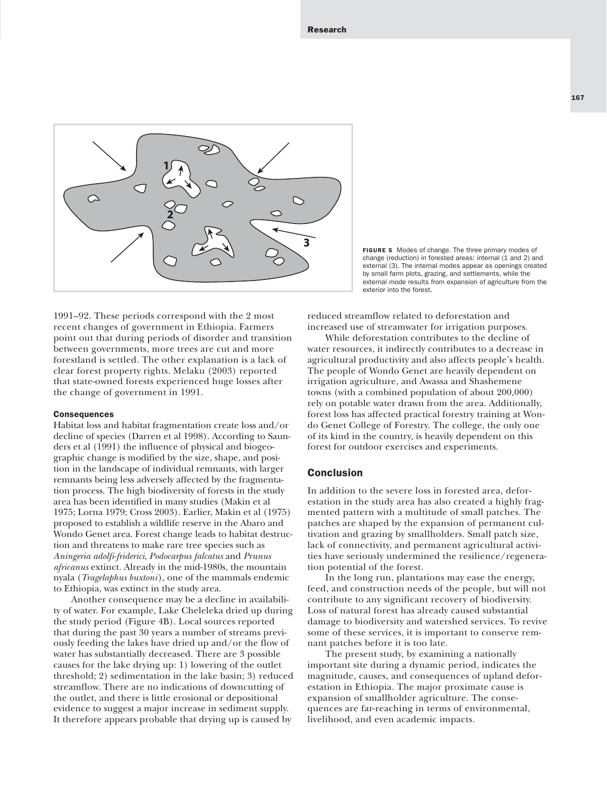

FIGURE 5 Modes of change. The three primary modes of change (reduction) in forested areas: internal (1 and 2) and external (3). The internal modes appear as openings created by small farm plots, grazing, and settlements, while the external mode results from expansion of agriculture from the exterior into the forest.

1991–92. These periods correspond with the 2 most recent changes of government in Ethiopia. Farmers point out that during periods of disorder and transition between governments, more trees are cut and more forestland is settled. The other explanation is a lack of clear forest property rights. Melaku (2003) reported that state-owned forests experienced huge losses after the change of government in 1991.

#### **Consequences**

Habitat loss and habitat fragmentation create loss and/or decline of species (Darren et al 1998). According to Saunders et al (1991) the influence of physical and biogeographic change is modified by the size, shape, and position in the landscape of individual remnants, with larger remnants being less adversely affected by the fragmentation process. The high biodiversity of forests in the study area has been identified in many studies (Makin et al 1975; Lorna 1979; Cross 2003). Earlier, Makin et al (1975) proposed to establish a wildlife reserve in the Abaro and Wondo Genet area. Forest change leads to habitat destruction and threatens to make rare tree species such as *Aningeria adolfi-friderici*, *Podocarpus falcatus* and *Prunus africanus* extinct. Already in the mid-1980s, the mountain nyala (*Tragelaphus buxtoni*), one of the mammals endemic to Ethiopia, was extinct in the study area.

Another consequence may be a decline in availability of water. For example, Lake Cheleleka dried up during the study period (Figure 4B). Local sources reported that during the past 30 years a number of streams previously feeding the lakes have dried up and/or the flow of water has substantially decreased. There are 3 possible causes for the lake drying up: 1) lowering of the outlet threshold; 2) sedimentation in the lake basin; 3) reduced streamflow. There are no indications of downcutting of the outlet, and there is little erosional or depositional evidence to suggest a major increase in sediment supply. It therefore appears probable that drying up is caused by

reduced streamflow related to deforestation and increased use of streamwater for irrigation purposes.

While deforestation contributes to the decline of water resources, it indirectly contributes to a decrease in agricultural productivity and also affects people's health. The people of Wondo Genet are heavily dependent on irrigation agriculture, and Awassa and Shashemene towns (with a combined population of about 200,000) rely on potable water drawn from the area. Additionally, forest loss has affected practical forestry training at Wondo Genet College of Forestry. The college, the only one of its kind in the country, is heavily dependent on this forest for outdoor exercises and experiments.

#### Conclusion

In addition to the severe loss in forested area, deforestation in the study area has also created a highly fragmented pattern with a multitude of small patches. The patches are shaped by the expansion of permanent cultivation and grazing by smallholders. Small patch size, lack of connectivity, and permanent agricultural activities have seriously undermined the resilience/regeneration potential of the forest.

In the long run, plantations may ease the energy, feed, and construction needs of the people, but will not contribute to any significant recovery of biodiversity. Loss of natural forest has already caused substantial damage to biodiversity and watershed services. To revive some of these services, it is important to conserve remnant patches before it is too late.

The present study, by examining a nationally important site during a dynamic period, indicates the magnitude, causes, and consequences of upland deforestation in Ethiopia. The major proximate cause is expansion of smallholder agriculture. The consequences are far-reaching in terms of environmental, livelihood, and even academic impacts.